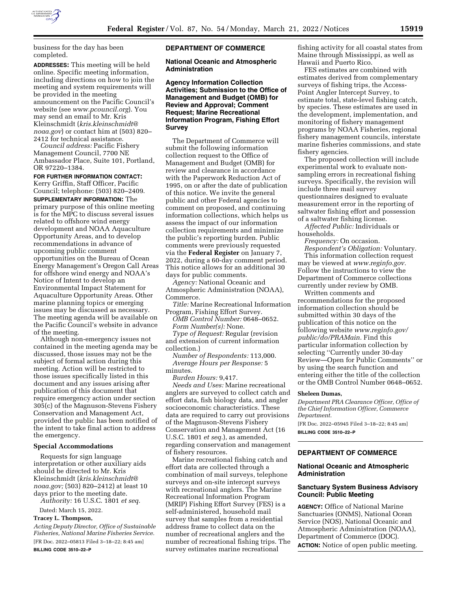

business for the day has been completed.

**ADDRESSES:** This meeting will be held online. Specific meeting information, including directions on how to join the meeting and system requirements will be provided in the meeting announcement on the Pacific Council's website (see *[www.pcouncil.org](http://www.pcouncil.org)*). You may send an email to Mr. Kris Kleinschmidt (*[kris.kleinschmidt@](mailto:kris.kleinschmidt@noaa.gov) [noaa.gov](mailto:kris.kleinschmidt@noaa.gov)*) or contact him at (503) 820– 2412 for technical assistance.

*Council address:* Pacific Fishery Management Council, 7700 NE Ambassador Place, Suite 101, Portland, OR 97220–1384.

# **FOR FURTHER INFORMATION CONTACT:**

Kerry Griffin, Staff Officer, Pacific Council; telephone: (503) 820–2409. **SUPPLEMENTARY INFORMATION:** The primary purpose of this online meeting is for the MPC to discuss several issues related to offshore wind energy development and NOAA Aquaculture Opportunity Areas, and to develop recommendations in advance of upcoming public comment opportunities on the Bureau of Ocean Energy Management's Oregon Call Areas for offshore wind energy and NOAA's Notice of Intent to develop an Environmental Impact Statement for Aquaculture Opportunity Areas. Other marine planning topics or emerging issues may be discussed as necessary. The meeting agenda will be available on the Pacific Council's website in advance of the meeting.

Although non-emergency issues not contained in the meeting agenda may be discussed, those issues may not be the subject of formal action during this meeting. Action will be restricted to those issues specifically listed in this document and any issues arising after publication of this document that require emergency action under section 305(c) of the Magnuson-Stevens Fishery Conservation and Management Act, provided the public has been notified of the intent to take final action to address the emergency.

### **Special Accommodations**

Requests for sign language interpretation or other auxiliary aids should be directed to Mr. Kris Kleinschmidt (*[kris.kleinschmidt@](mailto:kris.kleinschmidt@noaa.gov) [noaa.gov;](mailto:kris.kleinschmidt@noaa.gov)* (503) 820–2412) at least 10 days prior to the meeting date. *Authority:* 16 U.S.C. 1801 *et seq.* 

Dated: March 15, 2022.

# **Tracey L. Thompson,**

*Acting Deputy Director, Office of Sustainable Fisheries, National Marine Fisheries Service.*  [FR Doc. 2022–05813 Filed 3–18–22; 8:45 am] **BILLING CODE 3510–22–P** 

## **DEPARTMENT OF COMMERCE**

## **National Oceanic and Atmospheric Administration**

**Agency Information Collection Activities; Submission to the Office of Management and Budget (OMB) for Review and Approval; Comment Request; Marine Recreational Information Program, Fishing Effort Survey** 

The Department of Commerce will submit the following information collection request to the Office of Management and Budget (OMB) for review and clearance in accordance with the Paperwork Reduction Act of 1995, on or after the date of publication of this notice. We invite the general public and other Federal agencies to comment on proposed, and continuing information collections, which helps us assess the impact of our information collection requirements and minimize the public's reporting burden. Public comments were previously requested via the **Federal Register** on January 7, 2022, during a 60-day comment period. This notice allows for an additional 30 days for public comments.

*Agency:* National Oceanic and Atmospheric Administration (NOAA), Commerce.

*Title:* Marine Recreational Information Program, Fishing Effort Survey.

*OMB Control Number:* 0648–0652. *Form Number(s):* None.

*Type of Request:* Regular (revision and extension of current information collection.)

*Number of Respondents:* 113,000. *Average Hours per Response:* 5 minutes.

*Burden Hours:* 9,417.

*Needs and Uses:* Marine recreational anglers are surveyed to collect catch and effort data, fish biology data, and angler socioeconomic characteristics. These data are required to carry out provisions of the Magnuson-Stevens Fishery Conservation and Management Act (16 U.S.C. 1801 *et seq.*), as amended, regarding conservation and management of fishery resources.

Marine recreational fishing catch and effort data are collected through a combination of mail surveys, telephone surveys and on-site intercept surveys with recreational anglers. The Marine Recreational Information Program (MRIP) Fishing Effort Survey (FES) is a self-administered, household mail survey that samples from a residential address frame to collect data on the number of recreational anglers and the number of recreational fishing trips. The survey estimates marine recreational

fishing activity for all coastal states from Maine through Mississippi, as well as Hawaii and Puerto Rico.

FES estimates are combined with estimates derived from complementary surveys of fishing trips, the Access-Point Angler Intercept Survey, to estimate total, state-level fishing catch, by species. These estimates are used in the development, implementation, and monitoring of fishery management programs by NOAA Fisheries, regional fishery management councils, interstate marine fisheries commissions, and state fishery agencies.

The proposed collection will include experimental work to evaluate nonsampling errors in recreational fishing surveys. Specifically, the revision will include three mail survey questionnaires designed to evaluate measurement error in the reporting of saltwater fishing effort and possession of a saltwater fishing license.

*Affected Public:* Individuals or households.

*Frequency:* On occasion.

*Respondent's Obligation:* Voluntary. This information collection request may be viewed at *[www.reginfo.gov.](http://www.reginfo.gov)*  Follow the instructions to view the Department of Commerce collections currently under review by OMB.

Written comments and recommendations for the proposed information collection should be submitted within 30 days of the publication of this notice on the following website *[www.reginfo.gov/](http://www.reginfo.gov/public/do/PRAMain)  [public/do/PRAMain.](http://www.reginfo.gov/public/do/PRAMain)* Find this particular information collection by selecting ''Currently under 30-day Review—Open for Public Comments'' or by using the search function and entering either the title of the collection or the OMB Control Number 0648–0652.

#### **Sheleen Dumas,**

*Department PRA Clearance Officer, Office of the Chief Information Officer, Commerce Department.* 

[FR Doc. 2022–05945 Filed 3–18–22; 8:45 am] **BILLING CODE 3510–22–P** 

## **DEPARTMENT OF COMMERCE**

# **National Oceanic and Atmospheric Administration**

# **Sanctuary System Business Advisory Council: Public Meeting**

**AGENCY:** Office of National Marine Sanctuaries (ONMS), National Ocean Service (NOS), National Oceanic and Atmospheric Administration (NOAA), Department of Commerce (DOC). **ACTION:** Notice of open public meeting.